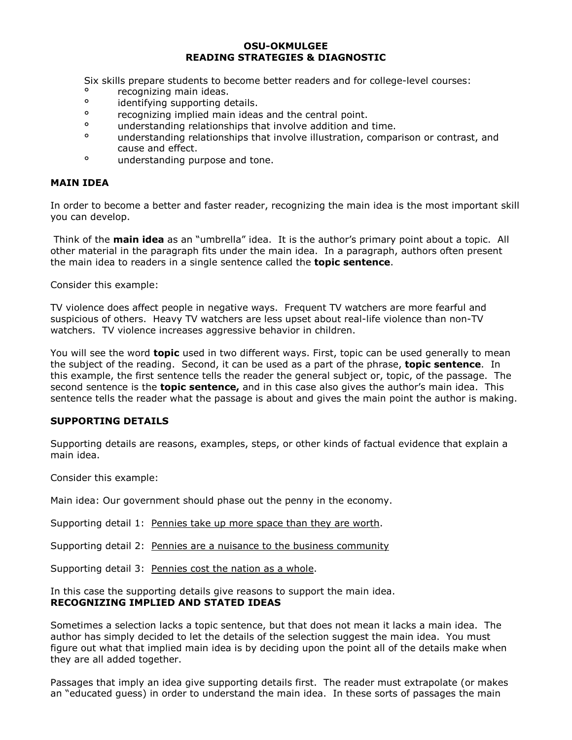#### **OSU-OKMULGEE READING STRATEGIES & DIAGNOSTIC**

Six skills prepare students to become better readers and for college-level courses:

- <sup>o</sup> recognizing main ideas.<br><sup>o</sup> identifying supporting de
- <sup>o</sup> identifying supporting details.
- ° recognizing implied main ideas and the central point.
- ° understanding relationships that involve addition and time.
- ° understanding relationships that involve illustration, comparison or contrast, and cause and effect.
- ° understanding purpose and tone.

## **MAIN IDEA**

In order to become a better and faster reader, recognizing the main idea is the most important skill you can develop.

Think of the **main idea** as an "umbrella" idea. It is the author's primary point about a topic. All other material in the paragraph fits under the main idea. In a paragraph, authors often present the main idea to readers in a single sentence called the **topic sentence**.

Consider this example:

TV violence does affect people in negative ways. Frequent TV watchers are more fearful and suspicious of others. Heavy TV watchers are less upset about real-life violence than non-TV watchers. TV violence increases aggressive behavior in children.

You will see the word **topic** used in two different ways. First, topic can be used generally to mean the subject of the reading. Second, it can be used as a part of the phrase, **topic sentence**. In this example, the first sentence tells the reader the general subject or, topic, of the passage. The second sentence is the **topic sentence,** and in this case also gives the authorís main idea. This sentence tells the reader what the passage is about and gives the main point the author is making.

## **SUPPORTING DETAILS**

Supporting details are reasons, examples, steps, or other kinds of factual evidence that explain a main idea.

Consider this example:

Main idea: Our government should phase out the penny in the economy.

Supporting detail 1: Pennies take up more space than they are worth.

Supporting detail 2: Pennies are a nuisance to the business community

Supporting detail 3: Pennies cost the nation as a whole.

In this case the supporting details give reasons to support the main idea. **RECOGNIZING IMPLIED AND STATED IDEAS** 

Sometimes a selection lacks a topic sentence, but that does not mean it lacks a main idea. The author has simply decided to let the details of the selection suggest the main idea. You must figure out what that implied main idea is by deciding upon the point all of the details make when they are all added together.

Passages that imply an idea give supporting details first. The reader must extrapolate (or makes an "educated guess) in order to understand the main idea. In these sorts of passages the main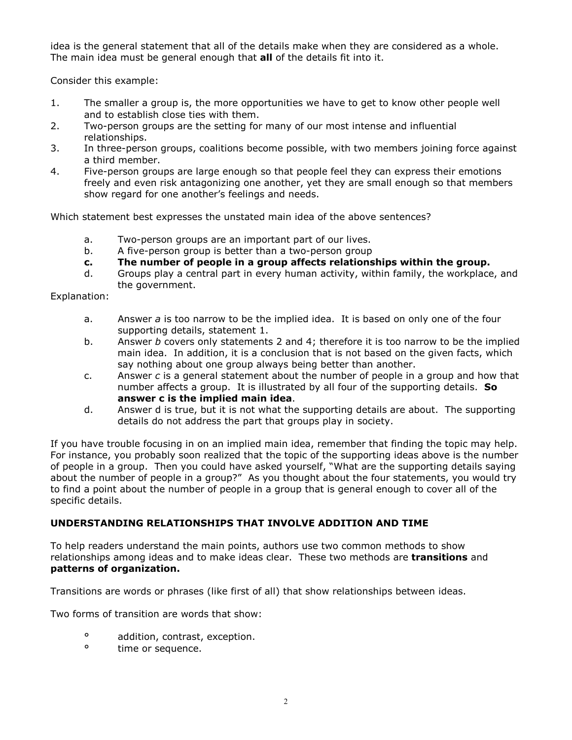idea is the general statement that all of the details make when they are considered as a whole. The main idea must be general enough that **all** of the details fit into it.

Consider this example:

- 1. The smaller a group is, the more opportunities we have to get to know other people well and to establish close ties with them.
- 2. Two-person groups are the setting for many of our most intense and influential relationships.
- 3. In three-person groups, coalitions become possible, with two members joining force against a third member.
- 4. Five-person groups are large enough so that people feel they can express their emotions freely and even risk antagonizing one another, yet they are small enough so that members show regard for one another's feelings and needs.

Which statement best expresses the unstated main idea of the above sentences?

- a. Two-person groups are an important part of our lives.
- b. A five-person group is better than a two-person group
- **c. The number of people in a group affects relationships within the group.**
- d. Groups play a central part in every human activity, within family, the workplace, and the government.

Explanation:

- a. Answer *a* is too narrow to be the implied idea. It is based on only one of the four supporting details, statement 1.
- b. Answer *b* covers only statements 2 and 4; therefore it is too narrow to be the implied main idea. In addition, it is a conclusion that is not based on the given facts, which say nothing about one group always being better than another.
- c. Answer *c* is a general statement about the number of people in a group and how that number affects a group. It is illustrated by all four of the supporting details. **So answer c is the implied main idea**.
- d. Answer d is true, but it is not what the supporting details are about. The supporting details do not address the part that groups play in society.

If you have trouble focusing in on an implied main idea, remember that finding the topic may help. For instance, you probably soon realized that the topic of the supporting ideas above is the number of people in a group. Then you could have asked yourself, "What are the supporting details saying about the number of people in a group?" As you thought about the four statements, you would try to find a point about the number of people in a group that is general enough to cover all of the specific details.

## **UNDERSTANDING RELATIONSHIPS THAT INVOLVE ADDITION AND TIME**

To help readers understand the main points, authors use two common methods to show relationships among ideas and to make ideas clear. These two methods are **transitions** and **patterns of organization.** 

Transitions are words or phrases (like first of all) that show relationships between ideas.

Two forms of transition are words that show:

- <sup>o</sup> addition, contrast, exception.<br><sup>o</sup> time or sequence
- time or sequence.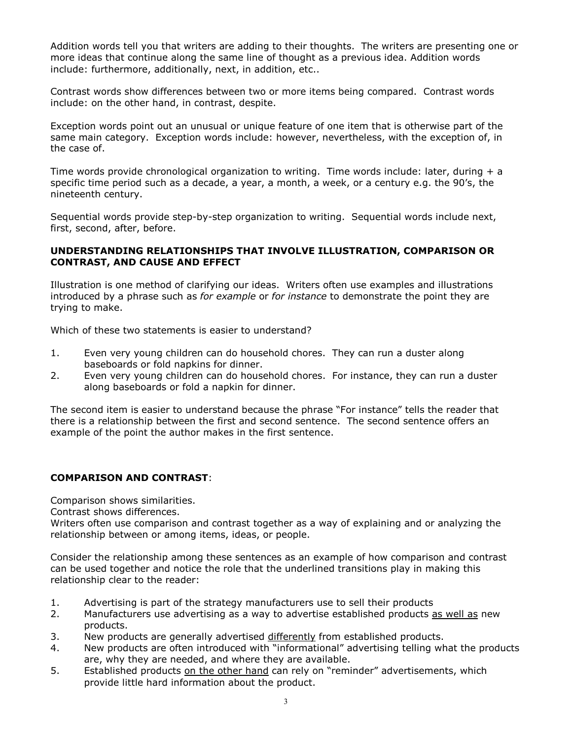Addition words tell you that writers are adding to their thoughts. The writers are presenting one or more ideas that continue along the same line of thought as a previous idea. Addition words include: furthermore, additionally, next, in addition, etc..

Contrast words show differences between two or more items being compared. Contrast words include: on the other hand, in contrast, despite.

Exception words point out an unusual or unique feature of one item that is otherwise part of the same main category. Exception words include: however, nevertheless, with the exception of, in the case of.

Time words provide chronological organization to writing. Time words include: later, during  $+ a$ specific time period such as a decade, a year, a month, a week, or a century e.g. the 90ís, the nineteenth century.

Sequential words provide step-by-step organization to writing. Sequential words include next, first, second, after, before.

## **UNDERSTANDING RELATIONSHIPS THAT INVOLVE ILLUSTRATION, COMPARISON OR CONTRAST, AND CAUSE AND EFFECT**

Illustration is one method of clarifying our ideas. Writers often use examples and illustrations introduced by a phrase such as *for example* or *for instance* to demonstrate the point they are trying to make.

Which of these two statements is easier to understand?

- 1. Even very young children can do household chores. They can run a duster along baseboards or fold napkins for dinner.
- 2. Even very young children can do household chores. For instance, they can run a duster along baseboards or fold a napkin for dinner.

The second item is easier to understand because the phrase "For instance" tells the reader that there is a relationship between the first and second sentence. The second sentence offers an example of the point the author makes in the first sentence.

# **COMPARISON AND CONTRAST**:

Comparison shows similarities.

Contrast shows differences.

Writers often use comparison and contrast together as a way of explaining and or analyzing the relationship between or among items, ideas, or people.

Consider the relationship among these sentences as an example of how comparison and contrast can be used together and notice the role that the underlined transitions play in making this relationship clear to the reader:

- 1. Advertising is part of the strategy manufacturers use to sell their products
- 2. Manufacturers use advertising as a way to advertise established products as well as new products.
- 3. New products are generally advertised differently from established products.
- 4. New products are often introduced with "informational" advertising telling what the products are, why they are needed, and where they are available.
- 5. Established products on the other hand can rely on "reminder" advertisements, which provide little hard information about the product.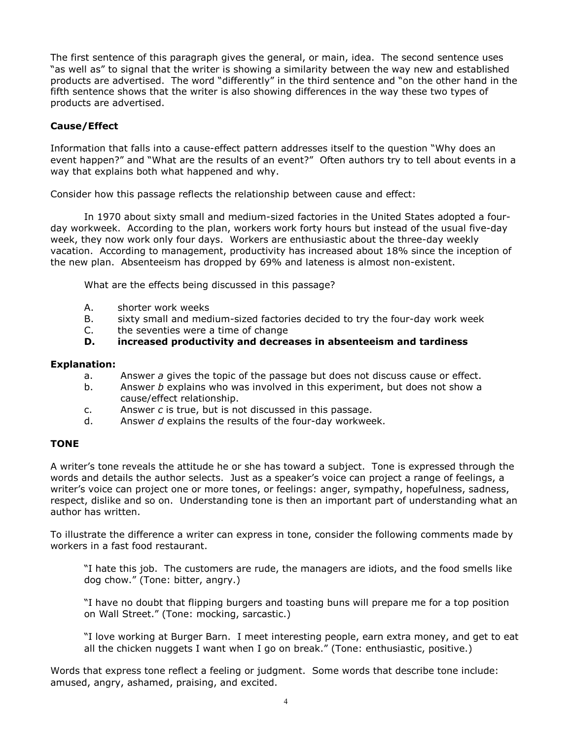The first sentence of this paragraph gives the general, or main, idea. The second sentence uses "as well as" to signal that the writer is showing a similarity between the way new and established products are advertised. The word "differently" in the third sentence and "on the other hand in the fifth sentence shows that the writer is also showing differences in the way these two types of products are advertised.

# **Cause/Effect**

Information that falls into a cause-effect pattern addresses itself to the question "Why does an event happen?" and "What are the results of an event?" Often authors try to tell about events in a way that explains both what happened and why.

Consider how this passage reflects the relationship between cause and effect:

 In 1970 about sixty small and medium-sized factories in the United States adopted a fourday workweek. According to the plan, workers work forty hours but instead of the usual five-day week, they now work only four days. Workers are enthusiastic about the three-day weekly vacation. According to management, productivity has increased about 18% since the inception of the new plan. Absenteeism has dropped by 69% and lateness is almost non-existent.

What are the effects being discussed in this passage?

- A. shorter work weeks
- B. sixty small and medium-sized factories decided to try the four-day work week
- C. the seventies were a time of change
- **D. increased productivity and decreases in absenteeism and tardiness**

#### **Explanation:**

- a. Answer *a* gives the topic of the passage but does not discuss cause or effect.
- b. Answer *b* explains who was involved in this experiment, but does not show a cause/effect relationship.
- c. Answer *c* is true, but is not discussed in this passage.
- d. Answer *d* explains the results of the four-day workweek.

## **TONE**

A writerís tone reveals the attitude he or she has toward a subject. Tone is expressed through the words and details the author selects. Just as a speaker's voice can project a range of feelings, a writer's voice can project one or more tones, or feelings: anger, sympathy, hopefulness, sadness, respect, dislike and so on. Understanding tone is then an important part of understanding what an author has written.

To illustrate the difference a writer can express in tone, consider the following comments made by workers in a fast food restaurant.

I hate this job. The customers are rude, the managers are idiots, and the food smells like dog chow." (Tone: bitter, angry.)

If have no doubt that flipping burgers and toasting buns will prepare me for a top position on Wall Street." (Tone: mocking, sarcastic.)

"I love working at Burger Barn. I meet interesting people, earn extra money, and get to eat all the chicken nuggets I want when I go on break." (Tone: enthusiastic, positive.)

Words that express tone reflect a feeling or judgment. Some words that describe tone include: amused, angry, ashamed, praising, and excited.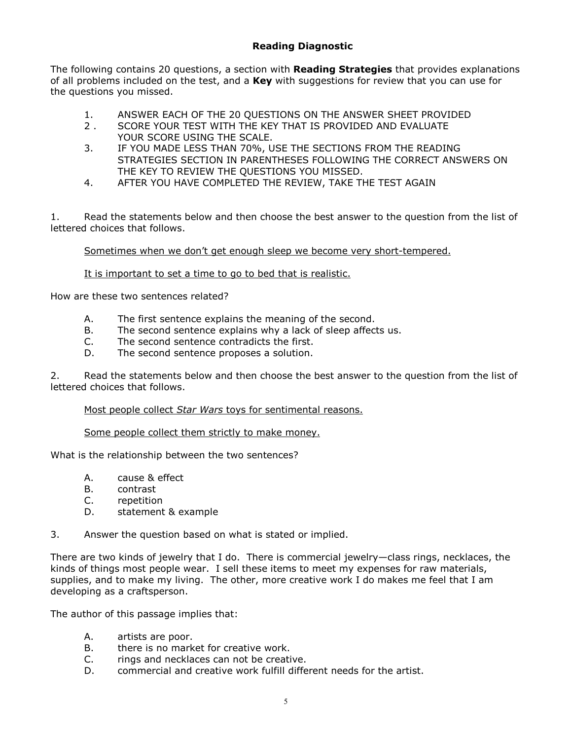# **Reading Diagnostic**

The following contains 20 questions, a section with **Reading Strategies** that provides explanations of all problems included on the test, and a **Key** with suggestions for review that you can use for the questions you missed.

- 1. ANSWER EACH OF THE 20 QUESTIONS ON THE ANSWER SHEET PROVIDED
- 2 . SCORE YOUR TEST WITH THE KEY THAT IS PROVIDED AND EVALUATE YOUR SCORE USING THE SCALE.
- 3. IF YOU MADE LESS THAN 70%, USE THE SECTIONS FROM THE READING STRATEGIES SECTION IN PARENTHESES FOLLOWING THE CORRECT ANSWERS ON THE KEY TO REVIEW THE QUESTIONS YOU MISSED.
- 4. AFTER YOU HAVE COMPLETED THE REVIEW, TAKE THE TEST AGAIN

1. Read the statements below and then choose the best answer to the question from the list of lettered choices that follows.

Sometimes when we don't get enough sleep we become very short-tempered.

It is important to set a time to go to bed that is realistic.

How are these two sentences related?

- A. The first sentence explains the meaning of the second.
- B. The second sentence explains why a lack of sleep affects us.
- C. The second sentence contradicts the first.
- D. The second sentence proposes a solution.

2. Read the statements below and then choose the best answer to the question from the list of lettered choices that follows.

Most people collect *Star Wars* toys for sentimental reasons.

#### Some people collect them strictly to make money.

What is the relationship between the two sentences?

- A. cause & effect
- B. contrast
- C. repetition
- D. statement & example
- 3. Answer the question based on what is stated or implied.

There are two kinds of jewelry that I do. There is commercial jewelry–class rings, necklaces, the kinds of things most people wear. I sell these items to meet my expenses for raw materials, supplies, and to make my living. The other, more creative work I do makes me feel that I am developing as a craftsperson.

The author of this passage implies that:

- A. artists are poor.
- B. there is no market for creative work.
- C. rings and necklaces can not be creative.
- D. commercial and creative work fulfill different needs for the artist.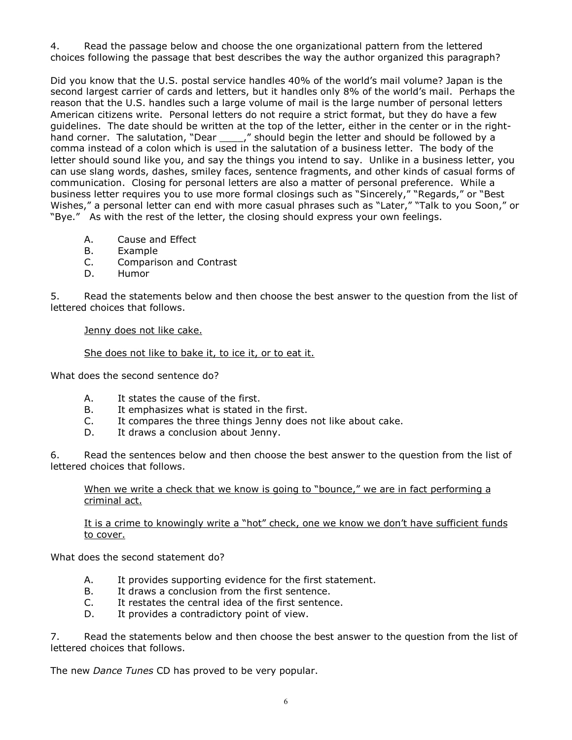4. Read the passage below and choose the one organizational pattern from the lettered choices following the passage that best describes the way the author organized this paragraph?

Did you know that the U.S. postal service handles 40% of the world's mail volume? Japan is the second largest carrier of cards and letters, but it handles only 8% of the world's mail. Perhaps the reason that the U.S. handles such a large volume of mail is the large number of personal letters American citizens write. Personal letters do not require a strict format, but they do have a few guidelines. The date should be written at the top of the letter, either in the center or in the righthand corner. The salutation, "Dear \_\_\_\_\_," should begin the letter and should be followed by a comma instead of a colon which is used in the salutation of a business letter. The body of the letter should sound like you, and say the things you intend to say. Unlike in a business letter, you can use slang words, dashes, smiley faces, sentence fragments, and other kinds of casual forms of communication. Closing for personal letters are also a matter of personal preference. While a business letter requires you to use more formal closings such as "Sincerely," "Regards," or "Best Wishes," a personal letter can end with more casual phrases such as "Later," "Talk to you Soon," or "Bye." As with the rest of the letter, the closing should express your own feelings.

- A. Cause and Effect
- B. Example
- C. Comparison and Contrast
- D. Humor

5. Read the statements below and then choose the best answer to the question from the list of lettered choices that follows.

Jenny does not like cake.

She does not like to bake it, to ice it, or to eat it.

What does the second sentence do?

- A. It states the cause of the first.
- B. It emphasizes what is stated in the first.
- C. It compares the three things Jenny does not like about cake.
- D. It draws a conclusion about Jenny.

6. Read the sentences below and then choose the best answer to the question from the list of lettered choices that follows.

When we write a check that we know is going to "bounce," we are in fact performing a criminal act.

It is a crime to knowingly write a "hot" check, one we know we don't have sufficient funds to cover.

What does the second statement do?

- A. It provides supporting evidence for the first statement.
- B. It draws a conclusion from the first sentence.
- C. It restates the central idea of the first sentence.
- D. It provides a contradictory point of view.

7. Read the statements below and then choose the best answer to the question from the list of lettered choices that follows.

The new *Dance Tunes* CD has proved to be very popular.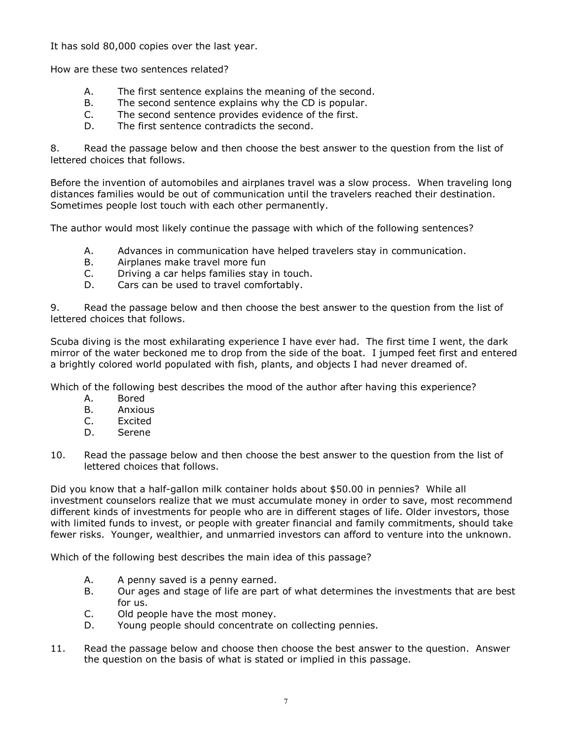It has sold 80,000 copies over the last year.

How are these two sentences related?

- A. The first sentence explains the meaning of the second.
- B. The second sentence explains why the CD is popular.
- C. The second sentence provides evidence of the first.
- D. The first sentence contradicts the second.

8. Read the passage below and then choose the best answer to the question from the list of lettered choices that follows.

Before the invention of automobiles and airplanes travel was a slow process. When traveling long distances families would be out of communication until the travelers reached their destination. Sometimes people lost touch with each other permanently.

The author would most likely continue the passage with which of the following sentences?

- A. Advances in communication have helped travelers stay in communication.
- B. Airplanes make travel more fun
- C. Driving a car helps families stay in touch.
- D. Cars can be used to travel comfortably.

9. Read the passage below and then choose the best answer to the question from the list of lettered choices that follows.

Scuba diving is the most exhilarating experience I have ever had. The first time I went, the dark mirror of the water beckoned me to drop from the side of the boat. I jumped feet first and entered a brightly colored world populated with fish, plants, and objects I had never dreamed of.

Which of the following best describes the mood of the author after having this experience?

- A. Bored
- B. Anxious
- C. Excited
- D. Serene
- 10. Read the passage below and then choose the best answer to the question from the list of lettered choices that follows.

Did you know that a half-gallon milk container holds about \$50.00 in pennies? While all investment counselors realize that we must accumulate money in order to save, most recommend different kinds of investments for people who are in different stages of life. Older investors, those with limited funds to invest, or people with greater financial and family commitments, should take fewer risks. Younger, wealthier, and unmarried investors can afford to venture into the unknown.

Which of the following best describes the main idea of this passage?

- A. A penny saved is a penny earned.
- B. Our ages and stage of life are part of what determines the investments that are best for us.
- C. Old people have the most money.
- D. Young people should concentrate on collecting pennies.
- 11. Read the passage below and choose then choose the best answer to the question. Answer the question on the basis of what is stated or implied in this passage.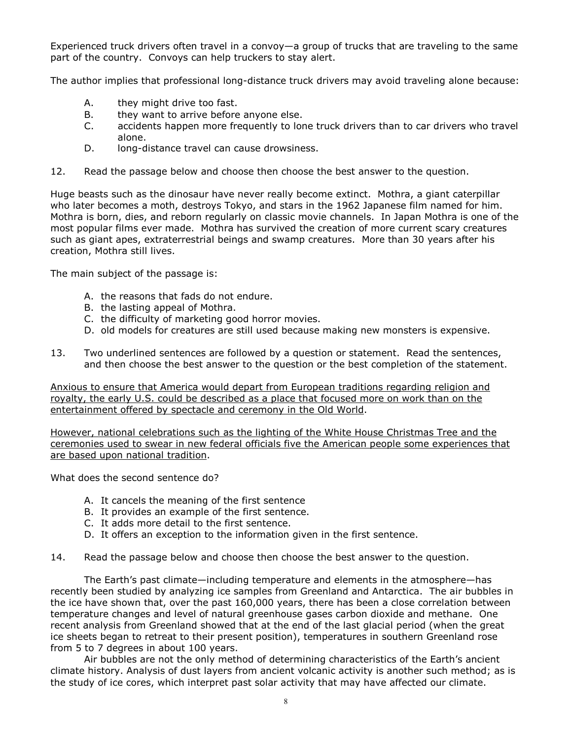Experienced truck drivers often travel in a convoy—a group of trucks that are traveling to the same part of the country. Convoys can help truckers to stay alert.

The author implies that professional long-distance truck drivers may avoid traveling alone because:

- A. they might drive too fast.
- B. they want to arrive before anyone else.
- C. accidents happen more frequently to lone truck drivers than to car drivers who travel alone.
- D. long-distance travel can cause drowsiness.
- 12. Read the passage below and choose then choose the best answer to the question.

Huge beasts such as the dinosaur have never really become extinct. Mothra, a giant caterpillar who later becomes a moth, destroys Tokyo, and stars in the 1962 Japanese film named for him. Mothra is born, dies, and reborn regularly on classic movie channels. In Japan Mothra is one of the most popular films ever made. Mothra has survived the creation of more current scary creatures such as giant apes, extraterrestrial beings and swamp creatures. More than 30 years after his creation, Mothra still lives.

The main subject of the passage is:

- A. the reasons that fads do not endure.
- B. the lasting appeal of Mothra.
- C. the difficulty of marketing good horror movies.
- D. old models for creatures are still used because making new monsters is expensive.
- 13. Two underlined sentences are followed by a question or statement. Read the sentences, and then choose the best answer to the question or the best completion of the statement.

Anxious to ensure that America would depart from European traditions regarding religion and royalty, the early U.S. could be described as a place that focused more on work than on the entertainment offered by spectacle and ceremony in the Old World.

However, national celebrations such as the lighting of the White House Christmas Tree and the ceremonies used to swear in new federal officials five the American people some experiences that are based upon national tradition.

What does the second sentence do?

- A. It cancels the meaning of the first sentence
- B. It provides an example of the first sentence.
- C. It adds more detail to the first sentence.
- D. It offers an exception to the information given in the first sentence.
- 14. Read the passage below and choose then choose the best answer to the question.

The Earth's past climate-including temperature and elements in the atmosphere-has recently been studied by analyzing ice samples from Greenland and Antarctica. The air bubbles in the ice have shown that, over the past 160,000 years, there has been a close correlation between temperature changes and level of natural greenhouse gases carbon dioxide and methane. One recent analysis from Greenland showed that at the end of the last glacial period (when the great ice sheets began to retreat to their present position), temperatures in southern Greenland rose from 5 to 7 degrees in about 100 years.

Air bubbles are not the only method of determining characteristics of the Earth's ancient climate history. Analysis of dust layers from ancient volcanic activity is another such method; as is the study of ice cores, which interpret past solar activity that may have affected our climate.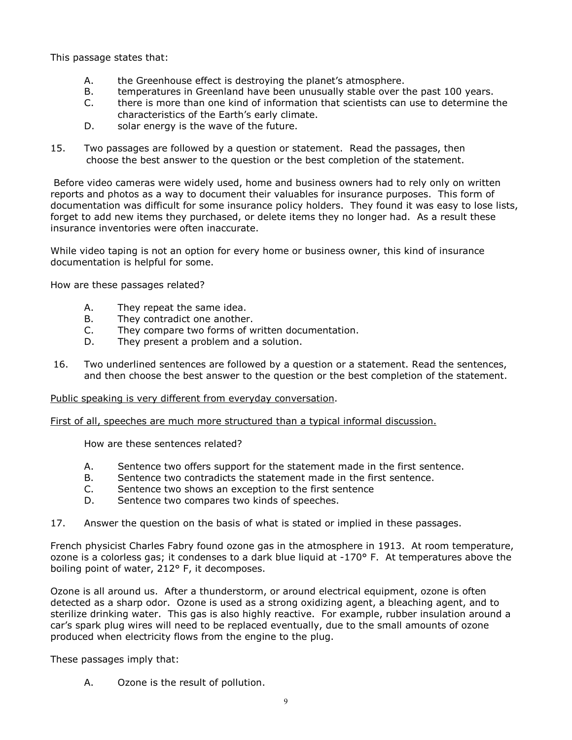This passage states that:

- A. the Greenhouse effect is destroying the planet's atmosphere.
- B. temperatures in Greenland have been unusually stable over the past 100 years.
- C. there is more than one kind of information that scientists can use to determine the characteristics of the Earth's early climate.
- D. solar energy is the wave of the future.
- 15. Two passages are followed by a question or statement. Read the passages, then choose the best answer to the question or the best completion of the statement.

 Before video cameras were widely used, home and business owners had to rely only on written reports and photos as a way to document their valuables for insurance purposes. This form of documentation was difficult for some insurance policy holders. They found it was easy to lose lists, forget to add new items they purchased, or delete items they no longer had. As a result these insurance inventories were often inaccurate.

While video taping is not an option for every home or business owner, this kind of insurance documentation is helpful for some.

How are these passages related?

- A. They repeat the same idea.
- B. They contradict one another.
- C. They compare two forms of written documentation.
- D. They present a problem and a solution.
- 16. Two underlined sentences are followed by a question or a statement. Read the sentences, and then choose the best answer to the question or the best completion of the statement.

## Public speaking is very different from everyday conversation.

First of all, speeches are much more structured than a typical informal discussion.

How are these sentences related?

- A. Sentence two offers support for the statement made in the first sentence.
- B. Sentence two contradicts the statement made in the first sentence.
- C. Sentence two shows an exception to the first sentence
- D. Sentence two compares two kinds of speeches.
- 17. Answer the question on the basis of what is stated or implied in these passages.

French physicist Charles Fabry found ozone gas in the atmosphere in 1913. At room temperature, ozone is a colorless gas; it condenses to a dark blue liquid at -170° F. At temperatures above the boiling point of water, 212° F, it decomposes.

Ozone is all around us. After a thunderstorm, or around electrical equipment, ozone is often detected as a sharp odor. Ozone is used as a strong oxidizing agent, a bleaching agent, and to sterilize drinking water. This gas is also highly reactive. For example, rubber insulation around a carís spark plug wires will need to be replaced eventually, due to the small amounts of ozone produced when electricity flows from the engine to the plug.

These passages imply that:

A. Ozone is the result of pollution.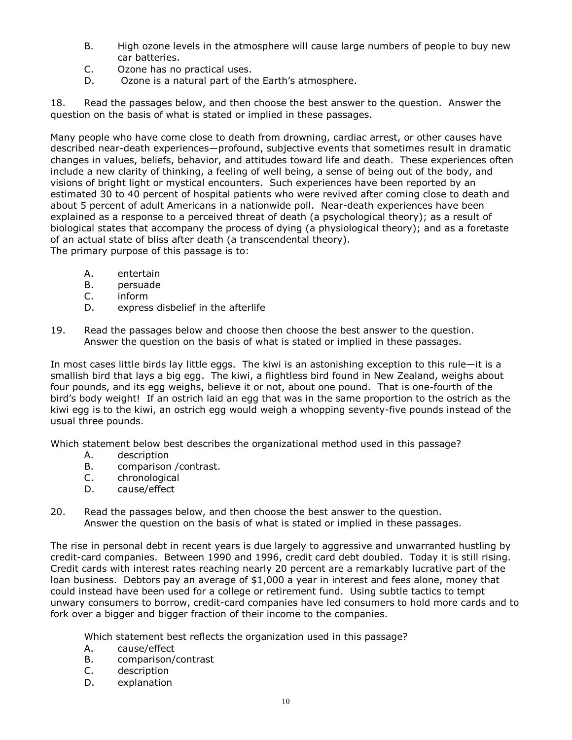- B. High ozone levels in the atmosphere will cause large numbers of people to buy new car batteries.
- C. Ozone has no practical uses.
- D. Ozone is a natural part of the Earth's atmosphere.

18. Read the passages below, and then choose the best answer to the question. Answer the question on the basis of what is stated or implied in these passages.

Many people who have come close to death from drowning, cardiac arrest, or other causes have described near-death experiences-profound, subjective events that sometimes result in dramatic changes in values, beliefs, behavior, and attitudes toward life and death. These experiences often include a new clarity of thinking, a feeling of well being, a sense of being out of the body, and visions of bright light or mystical encounters. Such experiences have been reported by an estimated 30 to 40 percent of hospital patients who were revived after coming close to death and about 5 percent of adult Americans in a nationwide poll. Near-death experiences have been explained as a response to a perceived threat of death (a psychological theory); as a result of biological states that accompany the process of dying (a physiological theory); and as a foretaste of an actual state of bliss after death (a transcendental theory).

The primary purpose of this passage is to:

- A. entertain
- B. persuade
- C. inform
- D. express disbelief in the afterlife
- 19. Read the passages below and choose then choose the best answer to the question. Answer the question on the basis of what is stated or implied in these passages.

In most cases little birds lay little eggs. The kiwi is an astonishing exception to this rule-it is a smallish bird that lays a big egg. The kiwi, a flightless bird found in New Zealand, weighs about four pounds, and its egg weighs, believe it or not, about one pound. That is one-fourth of the birdís body weight! If an ostrich laid an egg that was in the same proportion to the ostrich as the kiwi egg is to the kiwi, an ostrich egg would weigh a whopping seventy-five pounds instead of the usual three pounds.

Which statement below best describes the organizational method used in this passage?

- A. description
- B. comparison /contrast.
- C. chronological
- D. cause/effect
- 20. Read the passages below, and then choose the best answer to the question. Answer the question on the basis of what is stated or implied in these passages.

The rise in personal debt in recent years is due largely to aggressive and unwarranted hustling by credit-card companies. Between 1990 and 1996, credit card debt doubled. Today it is still rising. Credit cards with interest rates reaching nearly 20 percent are a remarkably lucrative part of the loan business. Debtors pay an average of \$1,000 a year in interest and fees alone, money that could instead have been used for a college or retirement fund. Using subtle tactics to tempt unwary consumers to borrow, credit-card companies have led consumers to hold more cards and to fork over a bigger and bigger fraction of their income to the companies.

Which statement best reflects the organization used in this passage?

- A. cause/effect
- B. comparison/contrast
- C. description
- D. explanation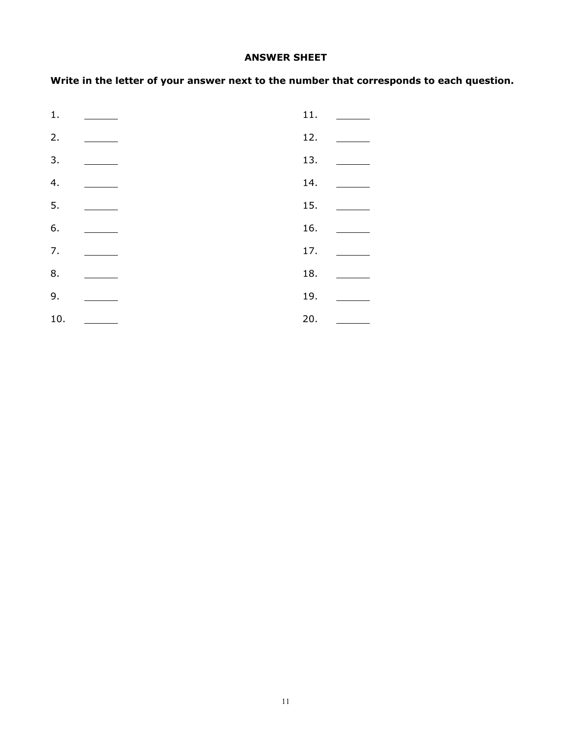## **ANSWER SHEET**

**Write in the letter of your answer next to the number that corresponds to each question.** 

| 1.               |                          | 11. | <b>Contract Contract</b>                                                                                                                                                                                                                                                                                                                                                                                                                                 |
|------------------|--------------------------|-----|----------------------------------------------------------------------------------------------------------------------------------------------------------------------------------------------------------------------------------------------------------------------------------------------------------------------------------------------------------------------------------------------------------------------------------------------------------|
| 2.               |                          | 12. |                                                                                                                                                                                                                                                                                                                                                                                                                                                          |
| 3.               |                          | 13. | $\frac{1}{2}$                                                                                                                                                                                                                                                                                                                                                                                                                                            |
| $\overline{4}$ . | <b>Contract Contract</b> | 14. | $\overline{\phantom{a}}$                                                                                                                                                                                                                                                                                                                                                                                                                                 |
| 5.               |                          | 15. |                                                                                                                                                                                                                                                                                                                                                                                                                                                          |
| 6.               |                          | 16. | $\frac{1}{1-\frac{1}{1-\frac{1}{1-\frac{1}{1-\frac{1}{1-\frac{1}{1-\frac{1}{1-\frac{1}{1-\frac{1}{1-\frac{1}{1-\frac{1}{1-\frac{1}{1-\frac{1}{1-\frac{1}{1-\frac{1}{1-\frac{1}{1-\frac{1}{1-\frac{1}{1-\frac{1}{1-\frac{1}{1-\frac{1}{1-\frac{1}{1-\frac{1}{1-\frac{1}{1-\frac{1}{1-\frac{1}{1-\frac{1}{1-\frac{1}{1-\frac{1}{1-\frac{1}{1-\frac{1}{1-\frac{1}{1-\frac{1}{1-\frac{1}{1-\frac{1}{1-\frac{1}{1-\frac{1$                                    |
| 7.               |                          | 17. |                                                                                                                                                                                                                                                                                                                                                                                                                                                          |
| 8.               |                          | 18. |                                                                                                                                                                                                                                                                                                                                                                                                                                                          |
| 9.               |                          | 19. | $\mathcal{L} = \{ \mathcal{L} \in \mathcal{L} \}$ .                                                                                                                                                                                                                                                                                                                                                                                                      |
| 10.              |                          | 20. | $\frac{1}{\sqrt{2\pi}}\left( \frac{1}{\sqrt{2\pi}}\right) \left( \frac{1}{\sqrt{2\pi}}\right) \left( \frac{1}{\sqrt{2\pi}}\right) \left( \frac{1}{\sqrt{2\pi}}\right) \left( \frac{1}{\sqrt{2\pi}}\right) \left( \frac{1}{\sqrt{2\pi}}\right) \left( \frac{1}{\sqrt{2\pi}}\right) \left( \frac{1}{\sqrt{2\pi}}\right) \left( \frac{1}{\sqrt{2\pi}}\right) \left( \frac{1}{\sqrt{2\pi}}\right) \left( \frac{1}{\sqrt{2\pi}}\right) \left( \frac{1}{\sqrt$ |